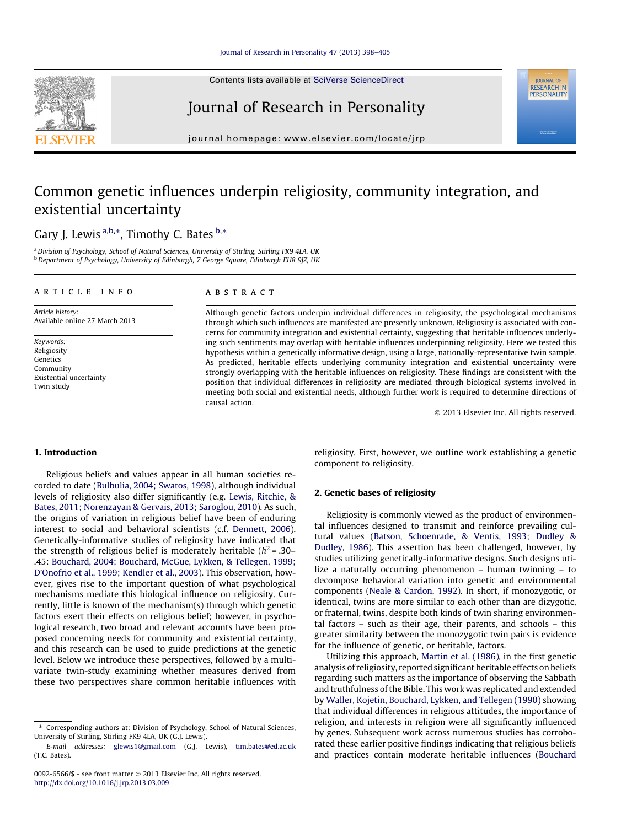Contents lists available at SciVerse ScienceDirect



# Journal of Research in Personality

journal homepage: [www.elsevier.com/locate/jrp](http://www.elsevier.com/locate/jrp)

## Common genetic influences underpin religiosity, community integration, and existential uncertainty

Gary J. Lewis <sup>a,b,</sup>\*, Timothy C. Bates <sup>b,</sup>\*

a Division of Psychology, School of Natural Sciences, University of Stirling, Stirling FK9 4LA, UK <sup>b</sup> Department of Psychology, University of Edinburgh, 7 George Square, Edinburgh EH8 9JZ, UK

#### article info

Article history: Available online 27 March 2013

Keywords: Religiosity Genetics Community Existential uncertainty Twin study

#### ABSTRACT

Although genetic factors underpin individual differences in religiosity, the psychological mechanisms through which such influences are manifested are presently unknown. Religiosity is associated with concerns for community integration and existential certainty, suggesting that heritable influences underlying such sentiments may overlap with heritable influences underpinning religiosity. Here we tested this hypothesis within a genetically informative design, using a large, nationally-representative twin sample. As predicted, heritable effects underlying community integration and existential uncertainty were strongly overlapping with the heritable influences on religiosity. These findings are consistent with the position that individual differences in religiosity are mediated through biological systems involved in meeting both social and existential needs, although further work is required to determine directions of causal action.

- 2013 Elsevier Inc. All rights reserved.

**JOURNAL OF** RESEARCH IN

## 1. Introduction

Religious beliefs and values appear in all human societies recorded to date ([Bulbulia, 2004; Swatos, 1998](#page-6-0) ), although individual levels of religiosity also differ significantly (e.g. [Lewis, Ritchie, &](#page-6-0) [Bates, 2011; Norenzayan & Gervais, 2013; Saroglou, 2010 \)](#page-6-0). As such, the origins of variation in religious belief have been of enduring interest to social and behavioral scientists (c.f. [Dennett, 2006 \)](#page-6-0). Genetically-informative studies of religiosity have indicated that the strength of religious belief is moderately heritable ( $h^2$  = .30– .45: [Bouchard, 2004; Bouchard, McGue, Lykken, & Tellegen, 1999;](#page-6-0) [D'Onofrio et al., 1999; Kendler et al., 2003](#page-6-0) ). This observation, however, gives rise to the important question of what psychological mechanisms mediate this biological influence on religiosity. Currently, little is known of the mechanism(s) through which genetic factors exert their effects on religious belief; however, in psychological research, two broad and relevant accounts have been proposed concerning needs for community and existential certainty, and this research can be used to guide predictions at the genetic level. Below we introduce these perspectives, followed by a multivariate twin-study examining whether measures derived from these two perspectives share common heritable influences with religiosity. First, however, we outline work establishing a genetic component to religiosity.

## 2. Genetic bases of religiosity

Religiosity is commonly viewed as the product of environmental influences designed to transmit and reinforce prevailing cultural values ([Batson, Schoenrade, & Ventis, 1993; Dudley &](#page-6-0) [Dudley, 1986](#page-6-0)). This assertion has been challenged, however, by studies utilizing genetically-informative designs. Such designs utilize a naturally occurring phenomenon – human twinning – to decompose behavioral variation into genetic and environmental components (Neale & Cardon, 1992). In short, if monozygotic, or identical, twins are more similar to each other than are dizygotic, or fraternal, twins, despite both kinds of twin sharing environmental factors – such as their age, their parents, and schools – this greater similarity between the monozygotic twin pairs is evidence for the influence of genetic, or heritable, factors.

Utilizing this approach, [Martin et al. \(1986\),](#page-6-0) in the first genetic analysis of religiosity, reported significant heritable effects on beliefs regarding such matters as the importance of observing the Sabbath and truthfulness of the Bible. This work was replicated and extended by [Waller, Kojetin, Bouchard, Lykken, and Tellegen \(1990\)](#page-7-0) showing that individual differences in religious attitudes, the importance of religion, and interests in religion were all significantly influenced by genes. Subsequent work across numerous studies has corroborated these earlier positive findings indicating that religious beliefs and practices contain moderate heritable influences [\(Bouchard](#page-6-0)

<sup>⇑</sup> Corresponding authors at: Division of Psychology, School of Natural Sciences, University of Stirling, Stirling FK9 4LA, UK (G.J. Lewis).

E-mail addresses: [glewis1@gmail.com](mailto:glewis1@gmail.com) (G.J. Lewis), [tim.bates@ed.ac.uk](mailto:tim.bates@ed.ac.uk) (T.C. Bates).

<sup>0092-6566/\$ -</sup> see front matter © 2013 Elsevier Inc. All rights reserved. <http://dx.doi.org/10.1016/j.jrp.2013.03.009>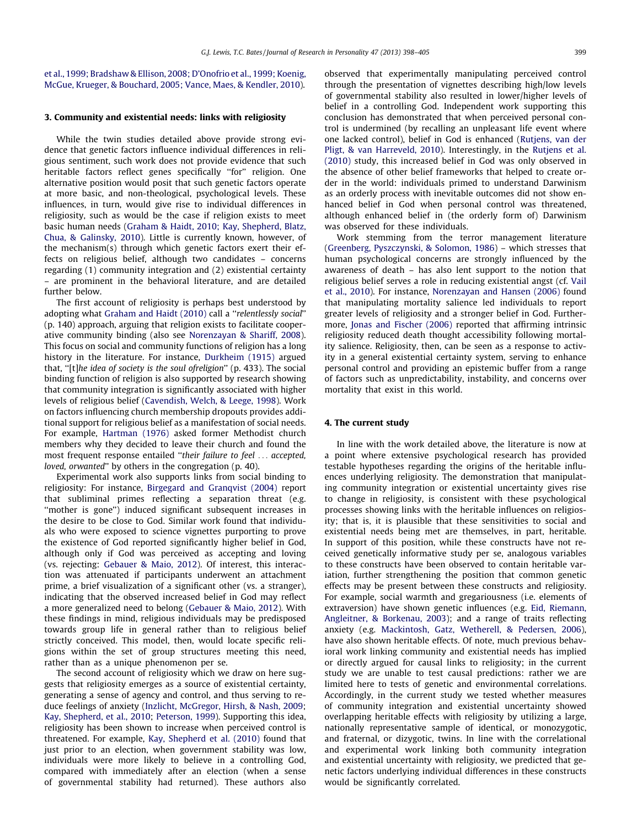[et al., 1999; Bradshaw & Ellison, 2008; D'Onofrio et al., 1999; Koenig,](#page-6-0) [McGue, Krueger, & Bouchard, 2005; Vance, Maes, & Kendler, 2010 \)](#page-6-0).

#### 3. Community and existential needs: links with religiosity

While the twin studies detailed above provide strong evidence that genetic factors influence individual differences in religious sentiment, such work does not provide evidence that such heritable factors reflect genes specifically "for" religion. One alternative position would posit that such genetic factors operate at more basic, and non-theological, psychological levels. These influences, in turn, would give rise to individual differences in religiosity, such as would be the case if religion exists to meet basic human needs ([Graham & Haidt, 2010; Kay, Shepherd, Blatz,](#page-6-0) Chua, & Galinsky, 2010). Little is currently known, however, of the mechanism $(s)$  through which genetic factors exert their effects on religious belief, although two candidates  $-$  concerns regarding (1) community integration and (2) existential certainty – are prominent in the behavioral literature, and are detailed further below.

The first account of religiosity is perhaps best understood by adopting what [Graham and Haidt \(2010\)](#page-6-0) call a "relentlessly social" (p. 140) approach, arguing that religion exists to facilitate cooperative community binding (also see [Norenzayan & Shariff, 2008 \)](#page-7-0). This focus on social and community functions of religion has a long history in the literature. For instance, [Durkheim \(1915\)](#page-6-0) argued that, "[t] he idea of society is the soul of religion" (p. 433). The social binding function of religion is also supported by research showing that community integration is significantly associated with higher levels of religious belief [\(Cavendish, Welch, & Leege, 1998 \)](#page-6-0). Work on factors influencing church membership dropouts provides additional support for religious belief as a manifestation of social needs. For example, [Hartman \(1976\)](#page-6-0) asked former Methodist church members why they decided to leave their church and found the most frequent response entailed "their failure to feel ... accepted, loved, orwanted" by others in the congregation  $(p. 40)$ .

Experimental work also supports links from social binding to religiosity: For instance, [Birgegard and Granqvist \(2004\)](#page-6-0) report that subliminal primes reflecting a separation threat (e.g. ''mother is gone'') induced significant subsequent increases in the desire to be close to God. Similar work found that individuals who were exposed to science vignettes purporting to prove the existence of God reported significantly higher belief in God, although only if God was perceived as accepting and loving (vs. rejecting: [Gebauer & Maio, 2012](#page-6-0) ). Of interest, this interaction was attenuated if participants underwent an attachment prime, a brief visualization of a significant other (vs. a stranger), indicating that the observed increased belief in God may reflect a more generalized need to belong [\(Gebauer & Maio, 2012 \)](#page-6-0). With these findings in mind, religious individuals may be predisposed towards group life in general rather than to religious belief strictly conceived. This model, then, would locate specific religions within the set of group structures meeting this need, rather than as a unique phenomenon per se.

The second account of religiosity which we draw on here suggests that religiosity emerges as a source of existential certainty, generating a sense of agency and control, and thus serving to reduce feelings of anxiety (Inzlicht, McGregor, Hirsh, & Nash, 2009; [Kay, Shepherd, et al., 2010](#page-6-0); [Peterson, 1999](#page-7-0)). Supporting this idea, religiosity has been shown to increase when perceived control is threatened. For example, [Kay, Shepherd et al. \(2010\)](#page-6-0) found that just prior to an election, when government stability was low, individuals were more likely to believe in a controlling God, compared with immediately after an election (when a sense of governmental stability had returned). These authors also observed that experimentally manipulating perceived control through the presentation of vignettes describing high/low levels of governmental stability also resulted in lower/higher levels of belief in a controlling God. Independent work supporting this conclusion has demonstrated that when perceived personal control is undermined (by recalling an unpleasant life event where one lacked control), belief in God is enhanced [\(Rutjens, van der](#page-7-0)  [Pligt, & van Harreveld, 2010](#page-7-0)). Interestingly, in the [Rutjens et al.](#page-7-0) [\(2010\)](#page-7-0) study, this increased belief in God was only observed in the absence of other belief frameworks that helped to create order in the world: individuals primed to understand Darwinism as an orderly process with inevitable outcomes did not show enhanced belief in God when personal control was threatened, although enhanced belief in (the orderly form of) Darwinism was observed for these individuals.

Work stemming from the terror management literature ([Greenberg, Pyszczynski, & Solomon, 1986](#page-6-0) ) – which stresses that human psychological concerns are strongly influenced by the awareness of death  $-$  has also lent support to the notion that religious belief serves a role in reducing existential angst (cf. [Vail](#page-7-0) et al., 2010). For instance, Norenzayan and Hansen (2006) found that manipulating mortality salience led individuals to report greater levels of religiosity and a stronger belief in God. Furthermore, [Jonas and Fischer \(2006\)](#page-6-0) reported that affirming intrinsic religiosity reduced death thought accessibility following mortality salience. Religiosity, then, can be seen as a response to activity in a general existential certainty system, serving to enhance personal control and providing an epistemic buffer from a range of factors such as unpredictability, instability, and concerns over mortality that exist in this world.

## 4. The current study

In line with the work detailed above, the literature is now at a point where extensive psychological research has provided testable hypotheses regarding the origins of the heritable influences underlying religiosity. The demonstration that manipulating community integration or existential uncertainty gives rise to change in religiosity, is consistent with these psychological processes showing links with the heritable influences on religiosity; that is, it is plausible that these sensitivities to social and existential needs being met are themselves, in part, heritable. In support of this position, while these constructs have not received genetically informative study per se, analogous variables to these constructs have been observed to contain heritable variation, further strengthening the position that common genetic effects may be present between these constructs and religiosity. For example, social warmth and gregariousness (i.e. elements of extraversion) have shown genetic influences (e.g. [Eid, Riemann,](#page-6-0) Angleitner, & Borkenau, 2003); and a range of traits reflecting anxiety (e.g. Mackintosh, Gatz, Wetherell, & Pedersen, 2006), have also shown heritable effects. Of note, much previous behavioral work linking community and existential needs has implied or directly argued for causal links to religiosity; in the current study we are unable to test causal predictions: rather we are limited here to tests of genetic and environmental correlations. Accordingly, in the current study we tested whether measures of community integration and existential uncertainty showed overlapping heritable effects with religiosity by utilizing a large, nationally representative sample of identical, or monozygotic, and fraternal, or dizygotic, twins. In line with the correlational and experimental work linking both community integration and existential uncertainty with religiosity, we predicted that genetic factors underlying individual differences in these constructs would be significantly correlated.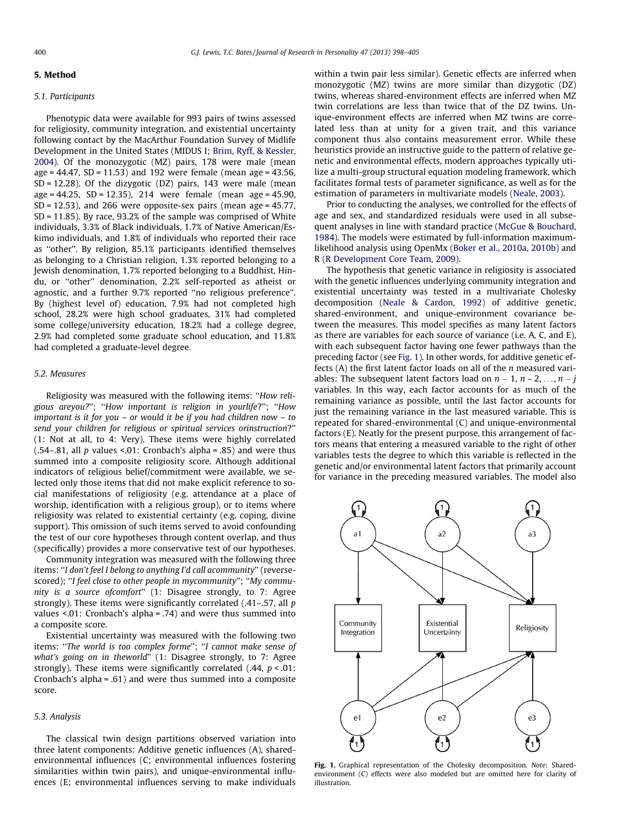## 5. Method

## 5.1. Participants

Phenotypic data were available for 993 pairs of twins assessed for religiosity, community integration, and existential uncertainty following contact by the MacArthur Foundation Survey of Midlife Development in the United States (MIDUS I; [Brim, Ryff, & Kessler,](#page-6-0) [2004\)](#page-6-0). Of the monozygotic (MZ) pairs, 178 were male (mean age = 44.47, SD = 11.53) and 192 were female (mean age = 43.56, SD = 12.28). Of the dizygotic (DZ) pairs, 143 were male (mean age = 44.25, SD = 12.35), 214 were female (mean age = 45.90,  $SD = 12.53$ ), and 266 were opposite-sex pairs (mean age = 45.77,  $SD = 11.85$ ). By race, 93.2% of the sample was comprised of White individuals, 3.3% of Black individuals, 1.7% of Native American/Eskimo individuals, and 1.8% of individuals who reported their race as "other". By religion, 85.1% participants identified themselves as belonging to a Christian religion, 1.3% reported belonging to a Jewish denomination, 1.7% reported belonging to a Buddhist, Hindu, or "other" denomination, 2.2% self-reported as atheist or agnostic, and a further 9.7% reported ''no religious preference''. By (highest level of) education, 7.9% had not completed high school, 28.2% were high school graduates, 31% had completed some college/university education, 18.2% had a college degree, 2.9% had completed some graduate school education, and 11.8% had completed a graduate-level degree.

#### 5.2. Measures

Religiosity was measured with the following items: "How religious areyou?"; "How important is religion in yourlife?"; "How important is it for you – or would it be if you had children now – to send your children for religious or spiritual services orinstruction?" (1: Not at all, to 4: Very). These items were highly correlated  $(.54-.81,$  all p values <.01: Cronbach's alpha = .85) and were thus summed into a composite religiosity score. Although additional indicators of religious belief/commitment were available, we selected only those items that did not make explicit reference to social manifestations of religiosity (e.g. attendance at a place of worship, identification with a religious group), or to items where religiosity was related to existential certainty (e.g. coping, divine support). This omission of such items served to avoid confounding the test of our core hypotheses through content overlap, and thus (specifically) provides a more conservative test of our hypotheses.

Community integration was measured with the following three items: "I don't feel I belong to anything I'd call acommunity" (reversescored); "I feel close to other people in mycommunity"; "My community is a source ofcomfort" (1: Disagree strongly, to 7: Agree strongly). These items were significantly correlated (.41-.57, all p values  $\leq$ .01: Cronbach's alpha = .74) and were thus summed into a composite score.

Existential uncertainty was measured with the following two items: "The world is too complex forme"; "I cannot make sense of what's going on in theworld" (1: Disagree strongly, to 7: Agree strongly). These items were significantly correlated  $(.44, p < .01$ : Cronbach's alpha = .61) and were thus summed into a composite score.

#### 5.3. Analysis

The classical twin design partitions observed variation into three latent components: Additive genetic influences (A), sharedenvironmental influences (C; environmental influences fostering similarities within twin pairs), and unique-environmental influences (E; environmental influences serving to make individuals within a twin pair less similar). Genetic effects are inferred when monozygotic (MZ) twins are more similar than dizygotic (DZ) twins, whereas shared-environment effects are inferred when MZ twin correlations are less than twice that of the DZ twins. Unique-environment effects are inferred when MZ twins are correlated less than at unity for a given trait, and this variance component thus also contains measurement error. While these heuristics provide an instructive guide to the pattern of relative genetic and environmental effects, modern approaches typically utilize a multi-group structural equation modeling framework, which facilitates formal tests of parameter significance, as well as for the estimation of parameters in multivariate models [\(Neale, 2003](#page-7-0)).

Prior to conducting the analyses, we controlled for the effects of age and sex, and standardized residuals were used in all subsequent analyses in line with standard practice [\(McGue & Bouchard,](#page-6-0) [1984\)](#page-6-0). The models were estimated by full-information maximum-likelihood analysis using OpenMx [\(Boker et al., 2010a, 2010b](#page-6-0)) and R [\(R Development Core Team, 2009](#page-7-0) ).

The hypothesis that genetic variance in religiosity is associated with the genetic influences underlying community integration and existential uncertainty was tested in a multivariate Cholesky decomposition [\(Neale & Cardon, 1992](#page-7-0)) of additive genetic, shared-environment, and unique-environment covariance between the measures. This model specifies as many latent factors as there are variables for each source of variance (i.e. A, C, and E), with each subsequent factor having one fewer pathways than the preceding factor (see Fig. 1). In other words, for additive genetic effects  $(A)$  the first latent factor loads on all of the *n* measured variables: The subsequent latent factors load on  $n-1$ ,  $n-2$ , ...,  $n-j$ variables. In this way, each factor accounts for as much of the remaining variance as possible, until the last factor accounts for just the remaining variance in the last measured variable. This is repeated for shared-environmental  $(C)$  and unique-environmental factors (E). Neatly for the present purpose, this arrangement of factors means that entering a measured variable to the right of other variables tests the degree to which this variable is reflected in the genetic and/or environmental latent factors that primarily account for variance in the preceding measured variables. The model also



Fig. 1. Graphical representation of the Cholesky decomposition. Note: Sharedenvironment (C) effects were also modeled but are omitted here for clarity of illustration.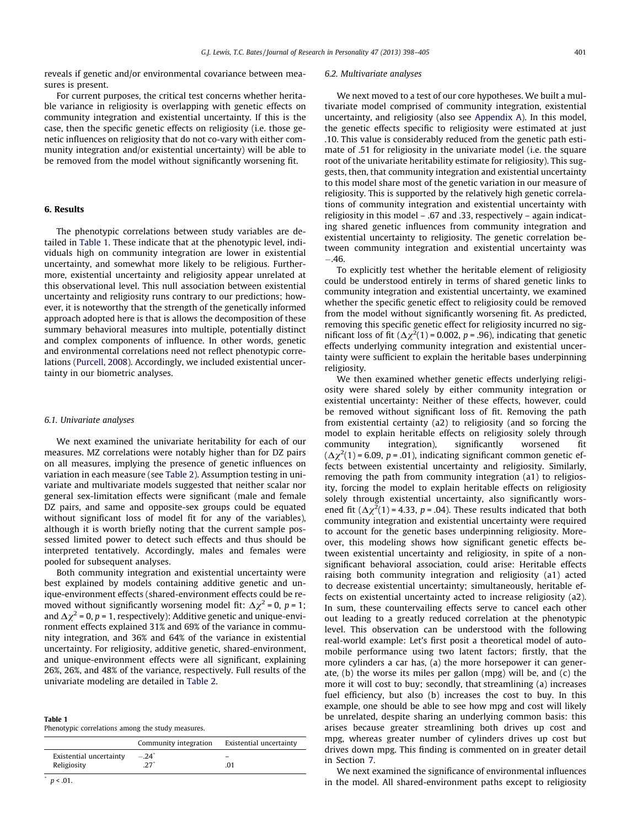reveals if genetic and/or environmental covariance between measures is present.

For current purposes, the critical test concerns whether heritable variance in religiosity is overlapping with genetic effects on community integration and existential uncertainty. If this is the case, then the specific genetic effects on religiosity (i.e. those genetic influences on religiosity that do not co-vary with either community integration and/or existential uncertainty) will be able to be removed from the model without significantly worsening fit.

## 6. Results

The phenotypic correlations between study variables are detailed in Table 1. These indicate that at the phenotypic level, individuals high on community integration are lower in existential uncertainty, and somewhat more likely to be religious. Furthermore, existential uncertainty and religiosity appear unrelated at this observational level. This null association between existential uncertainty and religiosity runs contrary to our predictions; however, it is noteworthy that the strength of the genetically informed approach adopted here is that is allows the decomposition of these summary behavioral measures into multiple, potentially distinct and complex components of influence. In other words, genetic and environmental correlations need not reflect phenotypic corre-lations [\(Purcell, 2008](#page-7-0)). Accordingly, we included existential uncertainty in our biometric analyses.

#### 6.1. Univariate analyses

We next examined the univariate heritability for each of our measures. MZ correlations were notably higher than for DZ pairs on all measures, implying the presence of genetic influences on variation in each measure (see [Table 2](#page-4-0)). Assumption testing in univariate and multivariate models suggested that neither scalar nor general sex-limitation effects were significant (male and female DZ pairs, and same and opposite-sex groups could be equated without significant loss of model fit for any of the variables), although it is worth briefly noting that the current sample possessed limited power to detect such effects and thus should be interpreted tentatively. Accordingly, males and females were pooled for subsequent analyses.

Both community integration and existential uncertainty were best explained by models containing additive genetic and unique-environment effects (shared-environment effects could be removed without significantly worsening model fit:  $\Delta \chi^2$  = 0, p = 1; and  $\Delta \chi^2$  = 0, p = 1, respectively): Additive genetic and unique-environment effects explained 31% and 69% of the variance in community integration, and 36% and 64% of the variance in existential uncertainty. For religiosity, additive genetic, shared-environment, and unique-environment effects were all significant, explaining 26%, 26%, and 48% of the variance, respectively. Full results of the univariate modeling are detailed in [Table 2](#page-4-0).

| Table 1 |  |                                                   |
|---------|--|---------------------------------------------------|
|         |  | Phenotypic correlations among the study measures. |

|                         | Community integration | Existential uncertainty |
|-------------------------|-----------------------|-------------------------|
| Existential uncertainty | $-.24$ <sup>*</sup>   |                         |
| Religiosity             | 27'                   | .01                     |
| $p < .01$ .             |                       |                         |

#### 6.2. Multivariate analyses

We next moved to a test of our core hypotheses. We built a multivariate model comprised of community integration, existential uncertainty, and religiosity (also see [Appendix A](#page-5-0)). In this model, the genetic effects specific to religiosity were estimated at just .10. This value is considerably reduced from the genetic path estimate of .51 for religiosity in the univariate model (i.e. the square root of the univariate heritability estimate for religiosity). This suggests, then, that community integration and existential uncertainty to this model share most of the genetic variation in our measure of religiosity. This is supported by the relatively high genetic correlations of community integration and existential uncertainty with religiosity in this model – .67 and .33, respectively – again indicating shared genetic influences from community integration and existential uncertainty to religiosity. The genetic correlation between community integration and existential uncertainty was  $-.46.$ 

To explicitly test whether the heritable element of religiosity could be understood entirely in terms of shared genetic links to community integration and existential uncertainty, we examined whether the specific genetic effect to religiosity could be removed from the model without significantly worsening fit. As predicted, removing this specific genetic effect for religiosity incurred no significant loss of fit ( $\Delta \chi^2(1)$  = 0.002, p = .96), indicating that genetic effects underlying community integration and existential uncertainty were sufficient to explain the heritable bases underpinning religiosity.

We then examined whether genetic effects underlying religiosity were shared solely by either community integration or existential uncertainty: Neither of these effects, however, could be removed without significant loss of fit. Removing the path from existential certainty (a2) to religiosity (and so forcing the model to explain heritable effects on religiosity solely through community integration), significantly worsened fit  $(\Delta \chi^2(1)$  = 6.09, p = .01), indicating significant common genetic effects between existential uncertainty and religiosity. Similarly, removing the path from community integration (a1) to religiosity, forcing the model to explain heritable effects on religiosity solely through existential uncertainty, also significantly worsened fit  $(\Delta \chi^2(1) = 4.33, p = .04)$ . These results indicated that both community integration and existential uncertainty were required to account for the genetic bases underpinning religiosity. Moreover, this modeling shows how significant genetic effects between existential uncertainty and religiosity, in spite of a nonsignificant behavioral association, could arise: Heritable effects raising both community integration and religiosity (a1) acted to decrease existential uncertainty; simultaneously, heritable effects on existential uncertainty acted to increase religiosity (a2). In sum, these countervailing effects serve to cancel each other out leading to a greatly reduced correlation at the phenotypic level. This observation can be understood with the following real-world example: Let's first posit a theoretical model of automobile performance using two latent factors; firstly, that the more cylinders a car has, (a) the more horsepower it can generate, (b) the worse its miles per gallon (mpg) will be, and (c) the more it will cost to buy; secondly, that streamlining (a) increases fuel efficiency, but also (b) increases the cost to buy. In this example, one should be able to see how mpg and cost will likely be unrelated, despite sharing an underlying common basis: this arises because greater streamlining both drives up cost and mpg, whereas greater number of cylinders drives up cost but drives down mpg. This finding is commented on in greater detail in Section [7](#page-4-0).

We next examined the significance of environmental influences in the model. All shared-environment paths except to religiosity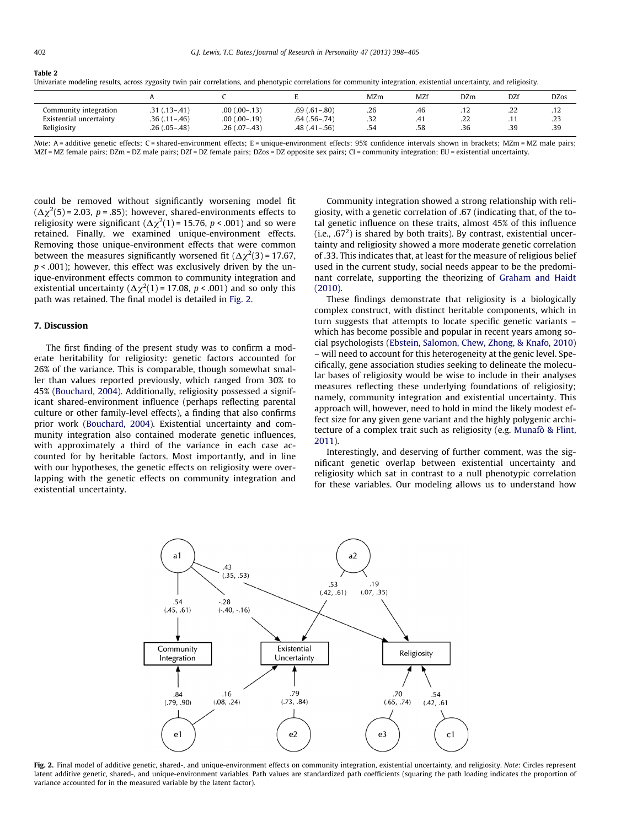<span id="page-4-0"></span>

|--|

Univariate modeling results, across zygosity twin pair correlations, and phenotypic correlations for community integration, existential uncertainty, and religiosity.

|                         |                     |                |                                 | MZm | MZf | <b>DZm</b> | <b>DZf</b> | <b>DZos</b> |
|-------------------------|---------------------|----------------|---------------------------------|-----|-----|------------|------------|-------------|
| Community integration   | $(.13-.41)$<br>.31( | $.00(.00-.13)$ | $.69(.61-.80)$                  | .26 | .46 | .14        | .22        | .12         |
| Existential uncertainty | $.36(.11-.46)$      | $.00(.00-.19)$ | $.64(.56-.74)$                  | .32 | .41 | .22        | $\cdot$ .  | .23         |
| Religiosity             | $.26(.05-.48)$      | $.26(.07-.43)$ | $(.41-.56)$<br>.48 <sub>0</sub> | .54 | .58 | .36        | .39        | .39         |

Note: A = additive genetic effects; C = shared-environment effects; E = unique-environment effects; 95% confidence intervals shown in brackets; MZm = MZ male pairs; MZf = MZ female pairs; DZm = DZ male pairs; DZf = DZ female pairs; DZos = DZ opposite sex pairs; CI = community integration; EU = existential uncertainty.

could be removed without significantly worsening model fit  $(\Delta \chi^2(5)$  = 2.03, p = .85); however, shared-environments effects to religiosity were significant ( $\Delta \chi^2(1)$  = 15.76, p < .001) and so were retained. Finally, we examined unique-environment effects. Removing those unique-environment effects that were common between the measures significantly worsened fit ( $\Delta\chi^2(3)$  = 17.67,  $p < .001$ ); however, this effect was exclusively driven by the unique-environment effects common to community integration and existential uncertainty ( $\Delta \chi^2(1)$  = 17.08, p < .001) and so only this path was retained. The final model is detailed in Fig. 2.

#### 7. Discussion

The first finding of the present study was to confirm a moderate heritability for religiosity: genetic factors accounted for 26% of the variance. This is comparable, though somewhat smaller than values reported previously, which ranged from 30% to 45% (Bouchard, 2004). Additionally, religiosity possessed a significant shared-environment influence (perhaps reflecting parental culture or other family-level effects), a finding that also confirms prior work (Bouchard, 2004). Existential uncertainty and community integration also contained moderate genetic influences, with approximately a third of the variance in each case accounted for by heritable factors. Most importantly, and in line with our hypotheses, the genetic effects on religiosity were overlapping with the genetic effects on community integration and existential uncertainty.

Community integration showed a strong relationship with religiosity, with a genetic correlation of .67 (indicating that, of the total genetic influence on these traits, almost 45% of this influence (i.e., .67<sup>2</sup>) is shared by both traits). By contrast, existential uncertainty and religiosity showed a more moderate genetic correlation of .33. This indicates that, at least for the measure of religious belief used in the current study, social needs appear to be the predominant correlate, supporting the theorizing of Graham and Haidt [\(2010\).](#page-6-0)

These findings demonstrate that religiosity is a biologically complex construct, with distinct heritable components, which in turn suggests that attempts to locate specific genetic variants – which has become possible and popular in recent years among social psychologists (Ebstein, Salomon, Chew, Zhong, & Knafo, 2010) – will need to account for this heterogeneity at the genic level. Specifically, gene association studies seeking to delineate the molecular bases of religiosity would be wise to include in their analyses measures reflecting these underlying foundations of religiosity; namely, community integration and existential uncertainty. This approach will, however, need to hold in mind the likely modest effect size for any given gene variant and the highly polygenic architecture of a complex trait such as religiosity (e.g. [Munafò & Flint,](#page-7-0) [2011\)](#page-7-0).

Interestingly, and deserving of further comment, was the significant genetic overlap between existential uncertainty and religiosity which sat in contrast to a null phenotypic correlation for these variables. Our modeling allows us to understand how



Fig. 2. Final model of additive genetic, shared-, and unique-environment effects on community integration, existential uncertainty, and religiosity. Note: Circles represent latent additive genetic, shared-, and unique-environment variables. Path values are standardized path coefficients (squaring the path loading indicates the proportion of variance accounted for in the measured variable by the latent factor).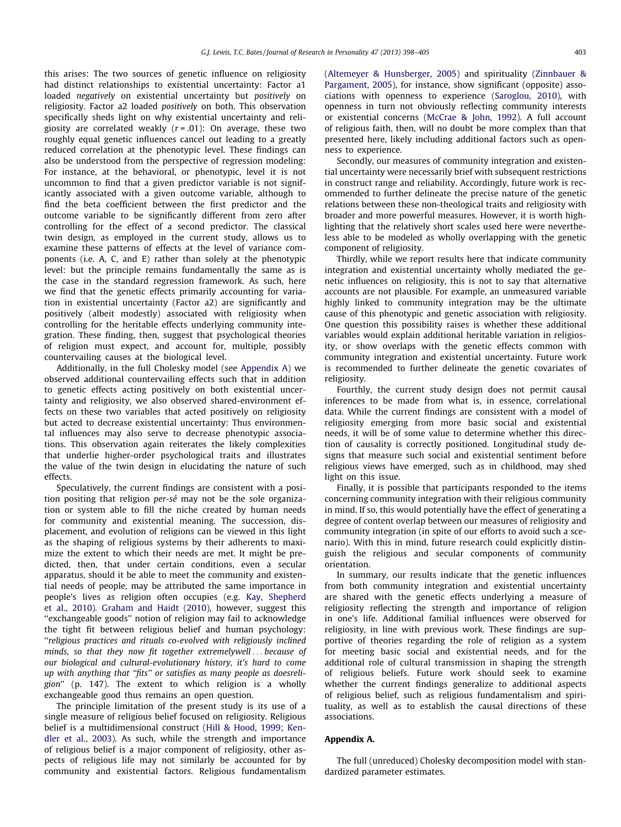<span id="page-5-0"></span>this arises: The two sources of genetic influence on religiosity had distinct relationships to existential uncertainty: Factor a1 loaded negatively on existential uncertainty but positively on religiosity. Factor a2 loaded positively on both. This observation specifically sheds light on why existential uncertainty and religiosity are correlated weakly  $(r=.01)$ : On average, these two roughly equal genetic influences cancel out leading to a greatly reduced correlation at the phenotypic level. These findings can also be understood from the perspective of regression modeling: For instance, at the behavioral, or phenotypic, level it is not uncommon to find that a given predictor variable is not significantly associated with a given outcome variable, although to find the beta coefficient between the first predictor and the outcome variable to be significantly different from zero after controlling for the effect of a second predictor. The classical twin design, as employed in the current study, allows us to examine these patterns of effects at the level of variance components (i.e. A, C, and E) rather than solely at the phenotypic level: but the principle remains fundamentally the same as is the case in the standard regression framework. As such, here we find that the genetic effects primarily accounting for variation in existential uncertainty (Factor a2) are significantly and positively (albeit modestly) associated with religiosity when controlling for the heritable effects underlying community integration. These finding, then, suggest that psychological theories of religion must expect, and account for, multiple, possibly countervailing causes at the biological level.

Additionally, in the full Cholesky model (see Appendix A) we observed additional countervailing effects such that in addition to genetic effects acting positively on both existential uncertainty and religiosity, we also observed shared-environment effects on these two variables that acted positively on religiosity but acted to decrease existential uncertainty: Thus environmental influences may also serve to decrease phenotypic associations. This observation again reiterates the likely complexities that underlie higher-order psychological traits and illustrates the value of the twin design in elucidating the nature of such effects.

Speculatively, the current findings are consistent with a position positing that religion per-sé may not be the sole organization or system able to fill the niche created by human needs for community and existential meaning. The succession, displacement, and evolution of religions can be viewed in this light as the shaping of religious systems by their adherents to maximize the extent to which their needs are met. It might be predicted, then, that under certain conditions, even a secular apparatus, should it be able to meet the community and existential needs of people, may be attributed the same importance in people's lives as religion often occupies (e.g. [Kay, Shepherd](#page-6-0)  [et al., 2010](#page-6-0)). [Graham and Haidt \(2010\)](#page-6-0), however, suggest this "exchangeable goods" notion of religion may fail to acknowledge the tight fit between religious belief and human psychology: ''religious practices and rituals co-evolved with religiously inclined minds, so that they now fit together extremelywell ... because of our biological and cultural-evolutionary history, it's hard to come up with anything that ''fits'' or satisfies as many people as doesreligion'' (p. 147). The extent to which religion is a wholly exchangeable good thus remains an open question.

The principle limitation of the present study is its use of a single measure of religious belief focused on religiosity. Religious belief is a multidimensional construct ([Hill & Hood, 1999; Ken](#page-6-0)[dler et al., 2003](#page-6-0) ). As such, while the strength and importance of religious belief is a major component of religiosity, other aspects of religious life may not similarly be accounted for by community and existential factors. Religious fundamentalism ([Altemeyer & Hunsberger, 2005](#page-6-0)) and spirituality (Zinnbauer & [Pargament, 2005](#page-7-0)), for instance, show significant (opposite) asso-ciations with openness to experience ([Saroglou, 2010](#page-7-0)), with openness in turn not obviously reflecting community interests or existential concerns (McCrae & John, 1992). A full account of religious faith, then, will no doubt be more complex than that presented here, likely including additional factors such as openness to experience.

Secondly, our measures of community integration and existential uncertainty were necessarily brief with subsequent restrictions in construct range and reliability. Accordingly, future work is recommended to further delineate the precise nature of the genetic relations between these non-theological traits and religiosity with broader and more powerful measures. However, it is worth highlighting that the relatively short scales used here were nevertheless able to be modeled as wholly overlapping with the genetic component of religiosity.

Thirdly, while we report results here that indicate community integration and existential uncertainty wholly mediated the genetic influences on religiosity, this is not to say that alternative accounts are not plausible. For example, an unmeasured variable highly linked to community integration may be the ultimate cause of this phenotypic and genetic association with religiosity. One question this possibility raises is whether these additional variables would explain additional heritable variation in religiosity, or show overlaps with the genetic effects common with community integration and existential uncertainty. Future work is recommended to further delineate the genetic covariates of religiosity.

Fourthly, the current study design does not permit causal inferences to be made from what is, in essence, correlational data. While the current findings are consistent with a model of religiosity emerging from more basic social and existential needs, it will be of some value to determine whether this direction of causality is correctly positioned. Longitudinal study designs that measure such social and existential sentiment before religious views have emerged, such as in childhood, may shed light on this issue.

Finally, it is possible that participants responded to the items concerning community integration with their religious community in mind. If so, this would potentially have the effect of generating a degree of content overlap between our measures of religiosity and community integration (in spite of our efforts to avoid such a scenario). With this in mind, future research could explicitly distinguish the religious and secular components of community orientation.

In summary, our results indicate that the genetic influences from both community integration and existential uncertainty are shared with the genetic effects underlying a measure of religiosity reflecting the strength and importance of religion in one's life. Additional familial influences were observed for religiosity, in line with previous work. These findings are supportive of theories regarding the role of religion as a system for meeting basic social and existential needs, and for the additional role of cultural transmission in shaping the strength of religious beliefs. Future work should seek to examine whether the current findings generalize to additional aspects of religious belief, such as religious fundamentalism and spirituality, as well as to establish the causal directions of these associations.

## Appendix A.

The full (unreduced) Cholesky decomposition model with standardized parameter estimates.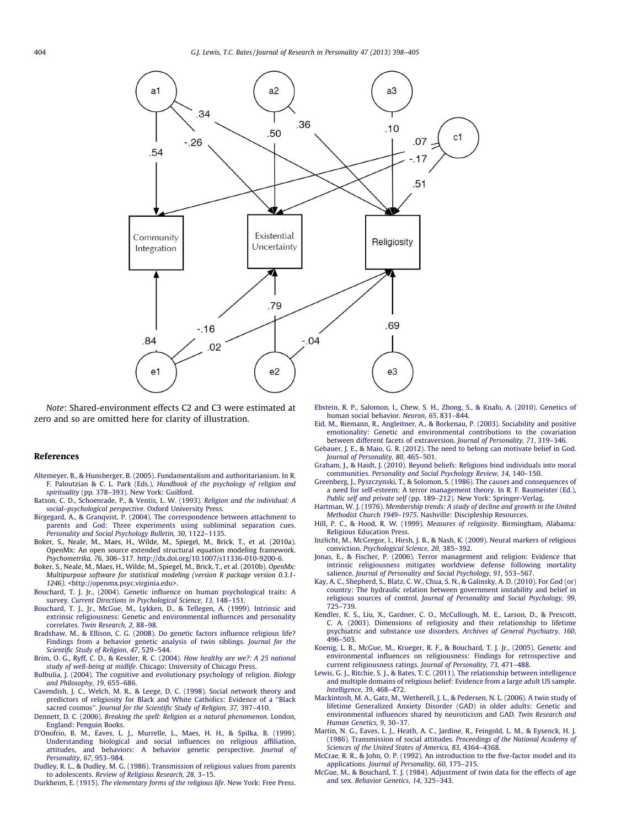<span id="page-6-0"></span>

Note: Shared-environment effects C2 and C3 were estimated at zero and so are omitted here for clarity of illustration.

## References

- [Altemeyer, B., & Hunsberger, B. \(2005\). Fundamentalism and authoritarianism. In R.](http://refhub.elsevier.com/S0092-6566(13)00050-0/h0005) F. Paloutzian & C. L. Park (Eds.), [Handbook of the psychology of religion and](http://refhub.elsevier.com/S0092-6566(13)00050-0/h0005)  spirituality (pp. 378-393). New York: Guilford.
- [Batson, C. D., Schoenrade, P., & Ventis, L. W. \(1993\).](http://refhub.elsevier.com/S0092-6566(13)00050-0/h0230) Religion and the individual: A social-psychological perspective. Oxford University Press.
- [Birgegard, A., & Granqvist, P. \(2004\). The correspondence between attachment to](http://refhub.elsevier.com/S0092-6566(13)00050-0/h0010)  [parents and God: Three experiments using subliminal separation cues.](http://refhub.elsevier.com/S0092-6566(13)00050-0/h0010) Personality and Social Psychology Bulletin, 30, 1122-1135.
- Boker, S., Neale, M., Maes, H., Wilde, M., Spiegel, M., Brick, T., et al. (2010a). OpenMx: An open source extended structural equation modeling framework. Psychometrika, 76 , 306–317. http://dx.doi.org/[10.1007/s11336-010-9200-6.](http://dx.doi.org/10.1007/s11336-010-9200-6)
- Boker, S., Neale, M., Maes, H., Wilde, M., Spiegel, M., Brick, T., et al. (2010b). OpenMx: Multipurpose software for statistical modeling (version R package version 0.3.1- 1246). <[http://openmx.psyc.virginia.edu>](http://openmx.psyc.virginia.edu).
- [Bouchard, T. J. Jr., \(2004\). Genetic influence on human psychological traits: A](http://refhub.elsevier.com/S0092-6566(13)00050-0/h0020) survey. Current Directions in Psychological Science, 13, 148-151.
- [Bouchard, T. J., Jr., McGue, M., Lykken, D., & Tellegen, A. \(1999\). Intrinsic and](http://refhub.elsevier.com/S0092-6566(13)00050-0/h0025)  [extrinsic religiousness: Genetic and environmental influences and personality](http://refhub.elsevier.com/S0092-6566(13)00050-0/h0025)  correlates. [Twin Research, 2](http://refhub.elsevier.com/S0092-6566(13)00050-0/h0025), 88–98.
- [Bradshaw, M., & Ellison, C. G. \(2008\). Do genetic factors influence religious life?](http://refhub.elsevier.com/S0092-6566(13)00050-0/h0030)  [Findings from a behavior genetic analysis of twin siblings.](http://refhub.elsevier.com/S0092-6566(13)00050-0/h0030) Journal for the Scientific Study of Religion, 47, 529-544.
- [Brim, O. G., Ryff, C. D., & Kessler, R. C. \(2004\).](http://refhub.elsevier.com/S0092-6566(13)00050-0/h0035) How healthy are we?: A 25 national study of well-being at midlife. Chicago: University of Chicago Press.
- [Bulbulia, J. \(2004\). The cognitive and evolutionary psychology of religion.](http://refhub.elsevier.com/S0092-6566(13)00050-0/h0040) Biology and Philosophy, 19, 655-686.
- [Cavendish, J. C., Welch, M. R., & Leege, D. C. \(1998\). Social network theory and](http://refhub.elsevier.com/S0092-6566(13)00050-0/h0045)  [predictors of religiosity for Black and White Catholics: Evidence of a ''Black](http://refhub.elsevier.com/S0092-6566(13)00050-0/h0045)  sacred cosmos". Journal for the Scientific Study of Religion, 37, 397-410.
- Dennett, D. C. (2006). Breaking the spell: Religion as a natural phenomenon. London, [England: Penguin Books .](http://refhub.elsevier.com/S0092-6566(13)00050-0/h0050)
- [D'Onofrio, B. M., Eaves, L. J., Murrelle, L., Maes, H. H., & Spilka, B. \(1999\).](http://refhub.elsevier.com/S0092-6566(13)00050-0/h0055) [Understanding biological and social influences on religious affiliation,](http://refhub.elsevier.com/S0092-6566(13)00050-0/h0055) [attitudes, and behaviors: A behavior genetic perspective.](http://refhub.elsevier.com/S0092-6566(13)00050-0/h0055) Journal of Personality, 67, 953-984.
- [Dudley, R. L., & Dudley, M. G. \(1986\). Transmission of religious values from parents](http://refhub.elsevier.com/S0092-6566(13)00050-0/h0060)  to adolescents. Review of Religious Research, 28, 3-15.
- Durkheim, E. (1915). The elementary forms of the religious life. New York: Free Press.
- [Ebstein, R. P., Salomon, I., Chew, S. H., Zhong, S., & Knafo, A. \(2010\). Genetics of](http://refhub.elsevier.com/S0092-6566(13)00050-0/h0065)  [human social behavior.](http://refhub.elsevier.com/S0092-6566(13)00050-0/h0065) Neuron, 65, 831-844.
- [Eid, M., Riemann, R., Angleitner, A., & Borkenau, P. \(2003\). Sociability and positive](http://refhub.elsevier.com/S0092-6566(13)00050-0/h0070)  [emotionality: Genetic and environmental contributions to the covariation](http://refhub.elsevier.com/S0092-6566(13)00050-0/h0070)  [between different facets of extraversion.](http://refhub.elsevier.com/S0092-6566(13)00050-0/h0070) Journal of Personality, 71, 319-346.
- [Gebauer, J. E., & Maio, G. R. \(2012\). The need to belong can motivate belief in God.](http://refhub.elsevier.com/S0092-6566(13)00050-0/h0075) Journal of Personality, 80, 465-501.
- [Graham, J., & Haidt, J. \(2010\). Beyond beliefs: Religions bind individuals into moral](http://refhub.elsevier.com/S0092-6566(13)00050-0/h0080)  communities. [Personality and Social Psychology Review, 14](http://refhub.elsevier.com/S0092-6566(13)00050-0/h0080) , 140–150.
- [Greenberg, J., Pyszczynski, T., & Solomon, S. \(1986\). The causes and consequences of](http://refhub.elsevier.com/S0092-6566(13)00050-0/h0085)  [a need for self-esteem: A terror management theory. In R. F. Baumeister \(Ed.\),](http://refhub.elsevier.com/S0092-6566(13)00050-0/h0085) Public self and private self (pp. 189-212). New York: Springer-Verlag.
- Hartman, W. J. (1976). [Membership trends: A study of decline and growth in the United](http://refhub.elsevier.com/S0092-6566(13)00050-0/h0240)  Methodist Church 1949–1975[. Nashville: Discipleship Resources](http://refhub.elsevier.com/S0092-6566(13)00050-0/h0240) .
- [Hill, P. C., & Hood, R. W. \(1999\).](http://refhub.elsevier.com/S0092-6566(13)00050-0/h0090) Measures of religiosity. Birmingham, Alabama: [Religious Education Press](http://refhub.elsevier.com/S0092-6566(13)00050-0/h0090) .
- [Inzlicht, M., McGregor, I., Hirsh, J. B., & Nash, K. \(2009\). Neural markers of religious](http://refhub.elsevier.com/S0092-6566(13)00050-0/h0095)  conviction. Psychological Science, 20, 385-392.
- [Jonas, E., & Fischer, P. \(2006\). Terror management and religion: Evidence that](http://refhub.elsevier.com/S0092-6566(13)00050-0/h0105)  [intrinsic religiousness mitigates worldview defense following mortality](http://refhub.elsevier.com/S0092-6566(13)00050-0/h0105)  salience. Journal of Personality and Social Psychology, 91, 553-567.
- [Kay, A. C., Shepherd, S., Blatz, C. W., Chua, S. N., & Galinsky, A. D. \(2010\). For God \(or\)](http://refhub.elsevier.com/S0092-6566(13)00050-0/h0115) [country: The hydraulic relation between government instability and belief in](http://refhub.elsevier.com/S0092-6566(13)00050-0/h0115)  religious sources of control. [Journal of Personality and Social Psychology, 99](http://refhub.elsevier.com/S0092-6566(13)00050-0/h0115), [725–739](http://refhub.elsevier.com/S0092-6566(13)00050-0/h0115).
- [Kendler, K. S., Liu, X., Gardner, C. O., McCullough, M. E., Larson, D., & Prescott,](http://refhub.elsevier.com/S0092-6566(13)00050-0/h0120) [C. A. \(2003\). Dimensions of religiosity and their relationship to lifetime](http://refhub.elsevier.com/S0092-6566(13)00050-0/h0120)  [psychiatric and substance use disorders.](http://refhub.elsevier.com/S0092-6566(13)00050-0/h0120) Archives of General Psychiatry, 160,  $496 - 503$
- [Koenig, L. B., McGue, M., Krueger, R. F., & Bouchard, T. J. Jr., \(2005\). Genetic and](http://refhub.elsevier.com/S0092-6566(13)00050-0/h0245)  [environmental influences on religiousness: Findings for retrospective and](http://refhub.elsevier.com/S0092-6566(13)00050-0/h0245)  [current religiousness ratings.](http://refhub.elsevier.com/S0092-6566(13)00050-0/h0245) Journal of Personality, 73, 471-488.
- [Lewis, G. J., Ritchie, S. J., & Bates, T. C. \(2011\). The relationship between intelligence](http://refhub.elsevier.com/S0092-6566(13)00050-0/h0125)  [and multiple domains of religious belief: Evidence from a large adult US sample.](http://refhub.elsevier.com/S0092-6566(13)00050-0/h0125) [Intelligence, 39](http://refhub.elsevier.com/S0092-6566(13)00050-0/h0125) , 468–472.
- [Mackintosh, M. A., Gatz, M., Wetherell, J. L., & Pedersen, N. L. \(2006\). A twin study of](http://refhub.elsevier.com/S0092-6566(13)00050-0/h0130)  [lifetime Generalized Anxiety Disorder \(GAD\) in older adults: Genetic and](http://refhub.elsevier.com/S0092-6566(13)00050-0/h0130)  [environmental influences shared by neuroticism and GAD.](http://refhub.elsevier.com/S0092-6566(13)00050-0/h0130) Twin Research and [Human Genetics, 9](http://refhub.elsevier.com/S0092-6566(13)00050-0/h0130), 30–37.
- [Martin, N. G., Eaves, L. J., Heath, A. C., Jardine, R., Feingold, L. M., & Eysenck, H. J.](http://refhub.elsevier.com/S0092-6566(13)00050-0/h0135) [\(1986\). Transmission of social attitudes.](http://refhub.elsevier.com/S0092-6566(13)00050-0/h0135) Proceedings of the National Academy of Sciences of the United States of America, 83, 4364-4368.
- [McCrae, R. R., & John, O. P. \(1992\). An introduction to the five-factor model and its](http://refhub.elsevier.com/S0092-6566(13)00050-0/h0140)  applications. Journal of Personality, 60, 175-215.
- [McGue, M., & Bouchard, T. J. \(1984\). Adjustment of twin data for the effects of age](http://refhub.elsevier.com/S0092-6566(13)00050-0/h0145)  and sex. [Behavior Genetics, 14](http://refhub.elsevier.com/S0092-6566(13)00050-0/h0145) , 325–343.